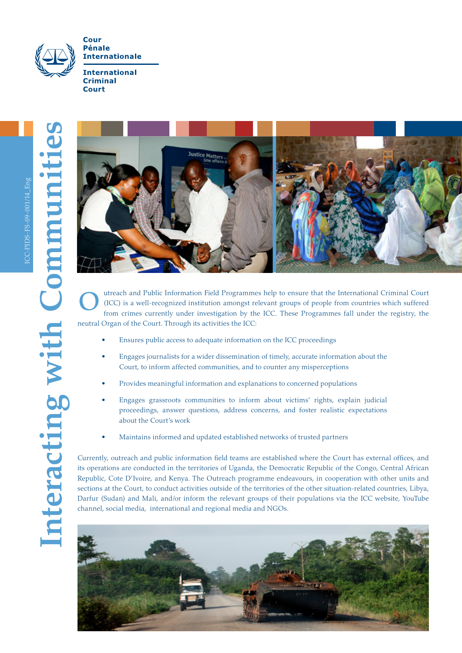

**Court** 



utreach and Public Information Field Programmes help to ensure that the International Criminal Court (ICC) is a well-recognized institution amongst relevant groups of people from countries which suffered from crimes currently under investigation by the ICC. These Programmes fall under the registry, the neutral Organ of the Court. Through its activities the ICC: O

- Ensures public access to adequate information on the ICC proceedings
- Engages journalists for a wider dissemination of timely, accurate information about the Court, to inform affected communities, and to counter any misperceptions
- Provides meaningful information and explanations to concerned populations
- Engages grassroots communities to inform about victims' rights, explain judicial proceedings, answer questions, address concerns, and foster realistic expectations about the Court's work
- Maintains informed and updated established networks of trusted partners

Currently, outreach and public information field teams are established where the Court has external offices, and its operations are conducted in the territories of Uganda, the Democratic Republic of the Congo, Central African Republic, Cote D'Ivoire, and Kenya. The Outreach programme endeavours, in cooperation with other units and sections at the Court, to conduct activities outside of the territories of the other situation-related countries, Libya, Darfur (Sudan) and Mali, and/or inform the relevant groups of their populations via the ICC website, YouTube channel, social media, international and regional media and NGOs.